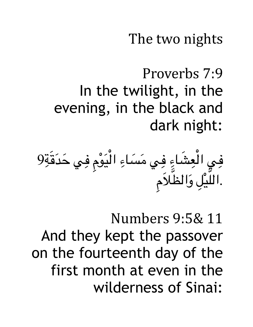The two nights

Proverbs 7:9 In the twilight, in the evening, in the black and dark night:

9 ِ قة َ د ح َ ِي ف ومِ ْ َ لي ْ ا ِ ساء َ م َ ِي ف ِ شاء َ ِ لع ْ ِي ا ف مِ َ ل َ والظ ل َ ِ ْ لي َ .ال

Numbers 9:5& 11 And they kept the passover on the fourteenth day of the first month at even in the wilderness of Sinai: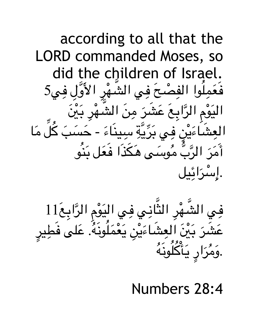

فِي الشَّهْرِ الثَّانِي فِي اليَوْمِ الرَّابِعَ11 ِ َ  $\ddot{\phantom{a}}$ .<br>ا  $\overline{\phantom{a}}$ عَشَرَ بَيْنَ العِشَاءَيْنِ يَعْمَلُونَهُ. عَلى فَطِيرِ  $\ddot{\phantom{a}}$ ِ َ المستقبل المستقبل المستقبل المستقبل المستقبل المستقبل المستقبل المستقبل المستقبل المستقبل المستقبل المستقبل ال<br>المستقبل المستقبل المستقبل المستقبل المستقبل المستقبل المستقبل المستقبل المستقبل المستقبل المستقبل المستقبل ال َ  $\ddot{\phantom{a}}$ .<br>المسلمانية<br>المسلمانية َ  $\overline{\phantom{a}}$ ِ َ  $\overline{\phantom{a}}$ َ  $\tilde{A}$ ર્<br>ત لون المستقبل المستقبل المستقبل المستقبل المستقبل المستقبل المستقبل المستقبل المستقبل المستقبل المستقبل المستقبل ال<br>المستقبل المستقبل المستقبل المستقبل المستقبل المستقبل المستقبل المستقبل المستقبل المستقبل المستقبل المستقبل ال ك **ُ** م<br>ا ر **ي**<br>ر ي  $\begin{array}{c} \hline \end{array}$ <u>ا</u><br>. مر اب المستقبل المستقبل المستقبل المستقبل المستقبل المستقبل المستقبل المستقبل المستقبل المستقبل المستقبل المستقبل<br>المستقبل المستقبل المستقبل المستقبل المستقبل المستقبل المستقبل المستقبل المستقبل المستقبل المستقبل المستقبل ال و .<br>و

Numbers 28:4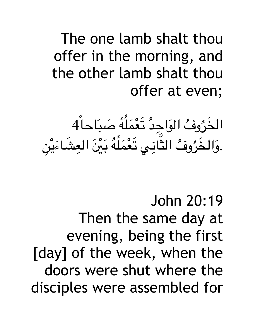## The one lamb shalt thou offer in the morning, and the other lamb shalt thou offer at even;

الخَرُوفُ الوَاجِدُ تَعْمَلُهُ صَبَاحاً4 ً َ ٔ<br>ا َ المستقبل المستقبل المستقبل المستقبل المستقبل المستقبل المستقبل المستقبل المستقبل المستقبل المستقبل المستقبل ال<br>والمستقبل المستقبل المستقبل المستقبل المستقبل المستقبل المستقبل المستقبل المستقبل المستقبل المستقبل المستقبل ا ِ ٔ<br>ا َ .وَالخَرُوفُ الثَّانِي نَعْمَلُهُ بَيْنَ العِشَاءَيْنِ  $\ddot{\phantom{a}}$ ْ َ  $\overline{a}$ ِ ٔ<br>ا َ َ ا<br>المسلمان<br>المسلمان َ

John 20:19 Then the same day at evening, being the first [day] of the week, when the doors were shut where the disciples were assembled for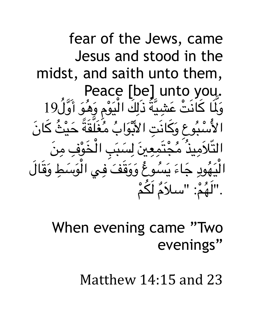fear of the Jews, came Jesus and stood in the midst, and saith unto them, Peace [be] unto you. وَلَمَا كَانَتْ عَشِيَّةُ ذَلِكَ الْيَوْمِ وَهُوَ أَوَّلُ19 ِّ أَنْ أَيُّ أَيُّ أَيُّ أَيُّ أَيُّ أَيُّ أَيُّ أَيُّ أَيُّ أَيُّ أَيُّ أَيُّ أَيُّ أَيُّ أَيُّ أَ ن<br>گ **ृ** ؘ<br>ؚ **่** ֧֞<u>֟</u> **֖֝֟** ِ ֺ֖֧֚֝֝֝֟֟֟֟֟֟֟֟֟֟֟֟֟֟֟֟֟֟֟֟֟֟֟֟֟֟֟֡֬ ِ َ **ا** َ َ **ृ** الأَسْبُوعِ وَكَانَتِ الأَبْوَابُ مُغَلقَةً حَيْثَ كَانَ ا<br>ا ا<br>ا َ َ َ اب المستقبل المستقبل المستقبل المستقبل المستقبل المستقبل المستقبل المستقبل المستقبل المستقبل المستقبل المستقبل<br>المستقبل المستقبل المستقبل المستقبل المستقبل المستقبل المستقبل المستقبل المستقبل المستقبل المستقبل المستقبل ال ِ َ ا<br>ا ا<br>المسابق التّلاَمِيذُ مَجْتَمِعِينَ لِسَبَبِ الْخَوْفِ مِنَ ्<br>। ِ َ ֧֞<u>֟</u> ِ ֝֟<u>֝</u> َ  $\overline{a}$  $\overline{\phantom{a}}$ ِ ِ ֺ<u>֚</u> ْ **ृ** ّ الْيَهُودِ جَاءَ يَسُوعُ وَوَقَفَ فِي الْوَسَطِ وَقَالَ  $\overline{a}$ َ **∶**  $\overline{\phantom{a}}$ ْ َ َ َ **∶** ֧֞<u>֟</u> ."لَهُمْ: "سلاَمٌ لَكُمْ ا<br>ا َ ْ **ابن**<br>ا

> When evening came "Two evenings"

> > Matthew 14:15 and 23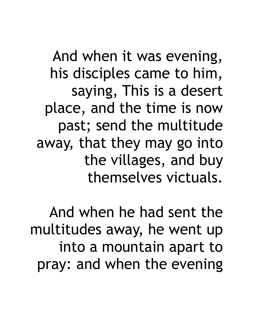And when it was evening, his disciples came to him, saying, This is a desert place, and the time is now past; send the multitude away, that they may go into the villages, and buy themselves victuals.

And when he had sent the multitudes away, he went up into a mountain apart to pray: and when the evening